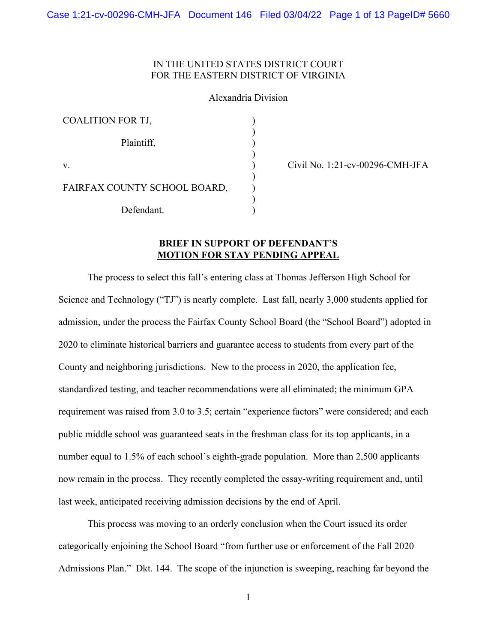## IN THE UNITED STATES DISTRICT COURT FOR THE EASTERN DISTRICT OF VIRGINIA

### Alexandria Division

| <b>COALITION FOR TJ,</b>     |  |
|------------------------------|--|
| Plaintiff,                   |  |
| V.                           |  |
| FAIRFAX COUNTY SCHOOL BOARD, |  |
| Defendant.                   |  |

Civil No. 1:21-cv-00296-CMH-JFA

# **BRIEF IN SUPPORT OF DEFENDANT'S MOTION FOR STAY PENDING APPEAL**

The process to select this fall's entering class at Thomas Jefferson High School for Science and Technology ("TJ") is nearly complete. Last fall, nearly 3,000 students applied for admission, under the process the Fairfax County School Board (the "School Board") adopted in 2020 to eliminate historical barriers and guarantee access to students from every part of the County and neighboring jurisdictions. New to the process in 2020, the application fee, standardized testing, and teacher recommendations were all eliminated; the minimum GPA requirement was raised from 3.0 to 3.5; certain "experience factors" were considered; and each public middle school was guaranteed seats in the freshman class for its top applicants, in a number equal to 1.5% of each school's eighth-grade population. More than 2,500 applicants now remain in the process. They recently completed the essay-writing requirement and, until last week, anticipated receiving admission decisions by the end of April.

This process was moving to an orderly conclusion when the Court issued its order categorically enjoining the School Board "from further use or enforcement of the Fall 2020 Admissions Plan." Dkt. 144. The scope of the injunction is sweeping, reaching far beyond the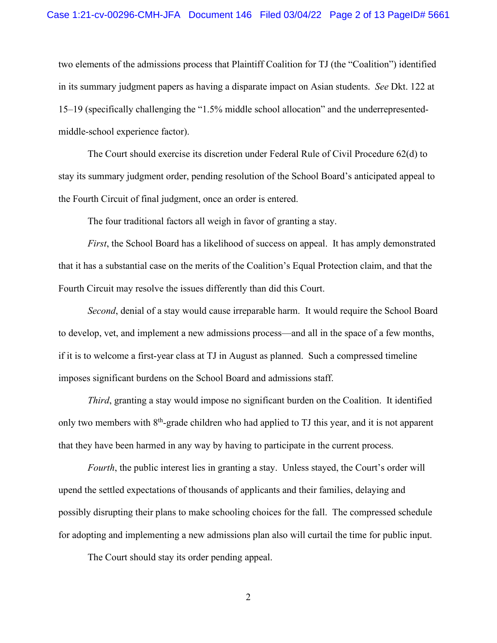### Case 1:21-cv-00296-CMH-JFA Document 146 Filed 03/04/22 Page 2 of 13 PageID# 5661

two elements of the admissions process that Plaintiff Coalition for TJ (the "Coalition") identified in its summary judgment papers as having a disparate impact on Asian students. *See* Dkt. 122 at 15–19 (specifically challenging the "1.5% middle school allocation" and the underrepresentedmiddle-school experience factor).

The Court should exercise its discretion under Federal Rule of Civil Procedure 62(d) to stay its summary judgment order, pending resolution of the School Board's anticipated appeal to the Fourth Circuit of final judgment, once an order is entered.

The four traditional factors all weigh in favor of granting a stay.

*First*, the School Board has a likelihood of success on appeal. It has amply demonstrated that it has a substantial case on the merits of the Coalition's Equal Protection claim, and that the Fourth Circuit may resolve the issues differently than did this Court.

*Second*, denial of a stay would cause irreparable harm. It would require the School Board to develop, vet, and implement a new admissions process—and all in the space of a few months, if it is to welcome a first-year class at TJ in August as planned. Such a compressed timeline imposes significant burdens on the School Board and admissions staff.

*Third*, granting a stay would impose no significant burden on the Coalition. It identified only two members with 8<sup>th</sup>-grade children who had applied to TJ this year, and it is not apparent that they have been harmed in any way by having to participate in the current process.

*Fourth*, the public interest lies in granting a stay. Unless stayed, the Court's order will upend the settled expectations of thousands of applicants and their families, delaying and possibly disrupting their plans to make schooling choices for the fall. The compressed schedule for adopting and implementing a new admissions plan also will curtail the time for public input.

The Court should stay its order pending appeal.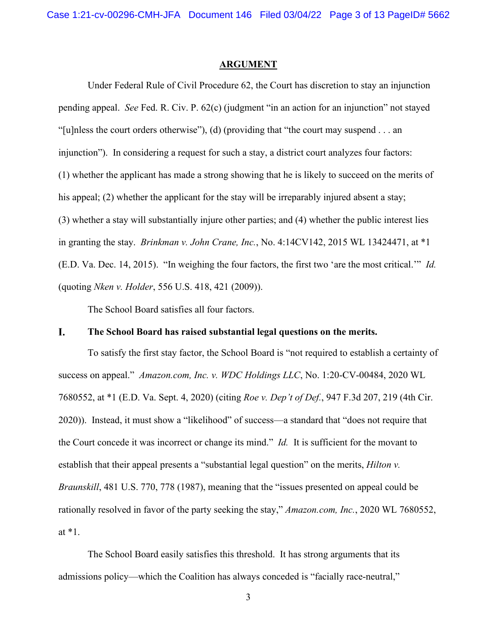### **ARGUMENT**

Under Federal Rule of Civil Procedure 62, the Court has discretion to stay an injunction pending appeal. *See* Fed. R. Civ. P. 62(c) (judgment "in an action for an injunction" not stayed "[u]nless the court orders otherwise"), (d) (providing that "the court may suspend . . . an injunction"). In considering a request for such a stay, a district court analyzes four factors: (1) whether the applicant has made a strong showing that he is likely to succeed on the merits of his appeal; (2) whether the applicant for the stay will be irreparably injured absent a stay; (3) whether a stay will substantially injure other parties; and (4) whether the public interest lies in granting the stay. *Brinkman v. John Crane, Inc.*, No. 4:14CV142, 2015 WL 13424471, at \*1 (E.D. Va. Dec. 14, 2015). "In weighing the four factors, the first two 'are the most critical.'" *Id.*  (quoting *Nken v. Holder*, 556 U.S. 418, 421 (2009)).

The School Board satisfies all four factors.

#### L. **The School Board has raised substantial legal questions on the merits.**

To satisfy the first stay factor, the School Board is "not required to establish a certainty of success on appeal." *Amazon.com, Inc. v. WDC Holdings LLC*, No. 1:20-CV-00484, 2020 WL 7680552, at \*1 (E.D. Va. Sept. 4, 2020) (citing *Roe v. Dep't of Def.*, 947 F.3d 207, 219 (4th Cir. 2020)). Instead, it must show a "likelihood" of success—a standard that "does not require that the Court concede it was incorrect or change its mind." *Id.* It is sufficient for the movant to establish that their appeal presents a "substantial legal question" on the merits, *Hilton v. Braunskill*, 481 U.S. 770, 778 (1987), meaning that the "issues presented on appeal could be rationally resolved in favor of the party seeking the stay," *Amazon.com, Inc.*, 2020 WL 7680552, at \*1.

The School Board easily satisfies this threshold. It has strong arguments that its admissions policy—which the Coalition has always conceded is "facially race-neutral,"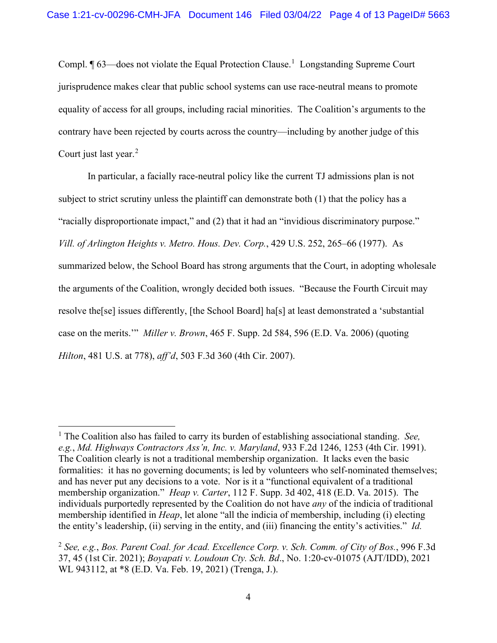Compl.  $\P$  63—does not violate the Equal Protection Clause.<sup>[1](#page-3-0)</sup> Longstanding Supreme Court jurisprudence makes clear that public school systems can use race-neutral means to promote equality of access for all groups, including racial minorities. The Coalition's arguments to the contrary have been rejected by courts across the country—including by another judge of this Court just last year.<sup>[2](#page-3-1)</sup>

In particular, a facially race-neutral policy like the current TJ admissions plan is not subject to strict scrutiny unless the plaintiff can demonstrate both (1) that the policy has a "racially disproportionate impact," and (2) that it had an "invidious discriminatory purpose." *Vill. of Arlington Heights v. Metro. Hous. Dev. Corp.*, 429 U.S. 252, 265–66 (1977). As summarized below, the School Board has strong arguments that the Court, in adopting wholesale the arguments of the Coalition, wrongly decided both issues. "Because the Fourth Circuit may resolve the[se] issues differently, [the School Board] ha[s] at least demonstrated a 'substantial case on the merits.'" *Miller v. Brown*, 465 F. Supp. 2d 584, 596 (E.D. Va. 2006) (quoting *Hilton*, 481 U.S. at 778), *aff'd*, 503 F.3d 360 (4th Cir. 2007).

<span id="page-3-0"></span><sup>1</sup> The Coalition also has failed to carry its burden of establishing associational standing. *See, e.g.*, *Md. Highways Contractors Ass'n, Inc. v. Maryland*, 933 F.2d 1246, 1253 (4th Cir. 1991). The Coalition clearly is not a traditional membership organization. It lacks even the basic formalities: it has no governing documents; is led by volunteers who self-nominated themselves; and has never put any decisions to a vote. Nor is it a "functional equivalent of a traditional membership organization." *Heap v. Carter*, 112 F. Supp. 3d 402, 418 (E.D. Va. 2015). The individuals purportedly represented by the Coalition do not have *any* of the indicia of traditional membership identified in *Heap*, let alone "all the indicia of membership, including (i) electing the entity's leadership, (ii) serving in the entity, and (iii) financing the entity's activities." *Id.* 

<span id="page-3-1"></span><sup>2</sup> *See, e.g.*, *Bos. Parent Coal. for Acad. Excellence Corp. v. Sch. Comm. of City of Bos.*, 996 F.3d 37, 45 (1st Cir. 2021); *Boyapati v. Loudoun Cty. Sch. Bd*., No. 1:20-cv-01075 (AJT/IDD), 2021 WL 943112, at \*8 (E.D. Va. Feb. 19, 2021) (Trenga, J.).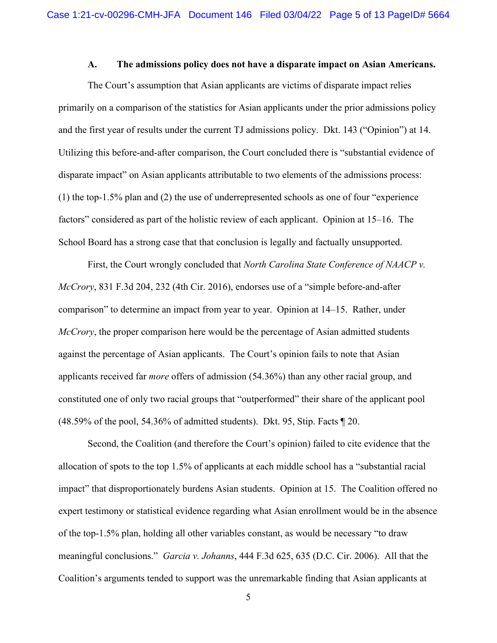### **A. The admissions policy does not have a disparate impact on Asian Americans.**

The Court's assumption that Asian applicants are victims of disparate impact relies primarily on a comparison of the statistics for Asian applicants under the prior admissions policy and the first year of results under the current TJ admissions policy. Dkt. 143 ("Opinion") at 14. Utilizing this before-and-after comparison, the Court concluded there is "substantial evidence of disparate impact" on Asian applicants attributable to two elements of the admissions process: (1) the top-1.5% plan and (2) the use of underrepresented schools as one of four "experience factors" considered as part of the holistic review of each applicant. Opinion at 15–16. The School Board has a strong case that that conclusion is legally and factually unsupported.

First, the Court wrongly concluded that *North Carolina State Conference of NAACP v. McCrory*, 831 F.3d 204, 232 (4th Cir. 2016), endorses use of a "simple before-and-after comparison" to determine an impact from year to year. Opinion at 14–15. Rather, under *McCrory*, the proper comparison here would be the percentage of Asian admitted students against the percentage of Asian applicants. The Court's opinion fails to note that Asian applicants received far *more* offers of admission (54.36%) than any other racial group, and constituted one of only two racial groups that "outperformed" their share of the applicant pool (48.59% of the pool, 54.36% of admitted students). Dkt. 95, Stip. Facts ¶ 20.

Second, the Coalition (and therefore the Court's opinion) failed to cite evidence that the allocation of spots to the top 1.5% of applicants at each middle school has a "substantial racial impact" that disproportionately burdens Asian students. Opinion at 15. The Coalition offered no expert testimony or statistical evidence regarding what Asian enrollment would be in the absence of the top-1.5% plan, holding all other variables constant, as would be necessary "to draw meaningful conclusions." *Garcia v. Johanns*, 444 F.3d 625, 635 (D.C. Cir. 2006). All that the Coalition's arguments tended to support was the unremarkable finding that Asian applicants at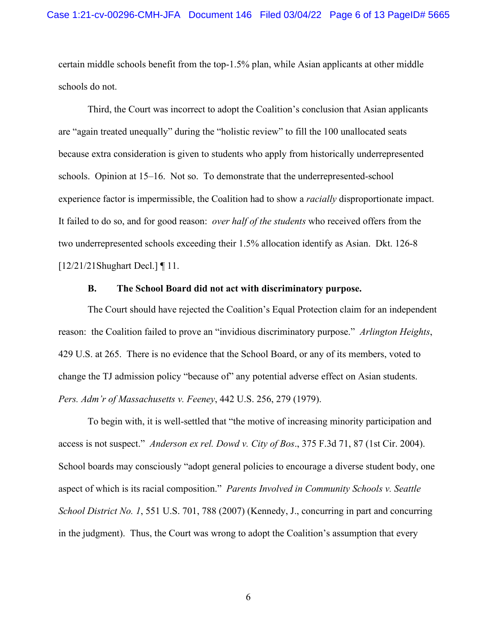certain middle schools benefit from the top-1.5% plan, while Asian applicants at other middle schools do not.

Third, the Court was incorrect to adopt the Coalition's conclusion that Asian applicants are "again treated unequally" during the "holistic review" to fill the 100 unallocated seats because extra consideration is given to students who apply from historically underrepresented schools. Opinion at 15–16. Not so. To demonstrate that the underrepresented-school experience factor is impermissible, the Coalition had to show a *racially* disproportionate impact. It failed to do so, and for good reason: *over half of the students* who received offers from the two underrepresented schools exceeding their 1.5% allocation identify as Asian. Dkt. 126-8 [12/21/21Shughart Decl.] ¶ 11.

### **B. The School Board did not act with discriminatory purpose.**

The Court should have rejected the Coalition's Equal Protection claim for an independent reason: the Coalition failed to prove an "invidious discriminatory purpose." *Arlington Heights*, 429 U.S. at 265. There is no evidence that the School Board, or any of its members, voted to change the TJ admission policy "because of" any potential adverse effect on Asian students. *Pers. Adm'r of Massachusetts v. Feeney*, 442 U.S. 256, 279 (1979).

To begin with, it is well-settled that "the motive of increasing minority participation and access is not suspect." *Anderson ex rel. Dowd v. City of Bos*., 375 F.3d 71, 87 (1st Cir. 2004). School boards may consciously "adopt general policies to encourage a diverse student body, one aspect of which is its racial composition." *Parents Involved in Community Schools v. Seattle School District No. 1*, 551 U.S. 701, 788 (2007) (Kennedy, J., concurring in part and concurring in the judgment). Thus, the Court was wrong to adopt the Coalition's assumption that every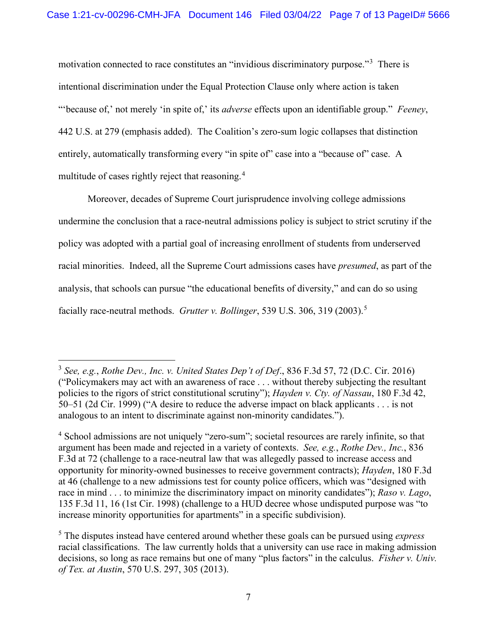motivation connected to race constitutes an "invidious discriminatory purpose."<sup>[3](#page-6-0)</sup> There is intentional discrimination under the Equal Protection Clause only where action is taken "'because of,' not merely 'in spite of,' its *adverse* effects upon an identifiable group." *Feeney*, 442 U.S. at 279 (emphasis added). The Coalition's zero-sum logic collapses that distinction entirely, automatically transforming every "in spite of" case into a "because of" case. A multitude of cases rightly reject that reasoning.<sup>[4](#page-6-1)</sup>

Moreover, decades of Supreme Court jurisprudence involving college admissions undermine the conclusion that a race-neutral admissions policy is subject to strict scrutiny if the policy was adopted with a partial goal of increasing enrollment of students from underserved racial minorities. Indeed, all the Supreme Court admissions cases have *presumed*, as part of the analysis, that schools can pursue "the educational benefits of diversity," and can do so using facially race-neutral methods. *Grutter v. Bollinger*, 539 U.S. 306, 319 (2003). [5](#page-6-2)

<span id="page-6-0"></span><sup>3</sup> *See, e.g.*, *Rothe Dev., Inc. v. United States Dep't of Def*., 836 F.3d 57, 72 (D.C. Cir. 2016) ("Policymakers may act with an awareness of race . . . without thereby subjecting the resultant policies to the rigors of strict constitutional scrutiny"); *Hayden v. Cty. of Nassau*, 180 F.3d 42, 50–51 (2d Cir. 1999) ("A desire to reduce the adverse impact on black applicants . . . is not analogous to an intent to discriminate against non-minority candidates.").

<span id="page-6-1"></span><sup>&</sup>lt;sup>4</sup> School admissions are not uniquely "zero-sum"; societal resources are rarely infinite, so that argument has been made and rejected in a variety of contexts. *See, e.g.*, *Rothe Dev., Inc.*, 836 F.3d at 72 (challenge to a race-neutral law that was allegedly passed to increase access and opportunity for minority-owned businesses to receive government contracts); *Hayden*, 180 F.3d at 46 (challenge to a new admissions test for county police officers, which was "designed with race in mind . . . to minimize the discriminatory impact on minority candidates"); *Raso v. Lago*, 135 F.3d 11, 16 (1st Cir. 1998) (challenge to a HUD decree whose undisputed purpose was "to increase minority opportunities for apartments" in a specific subdivision).

<span id="page-6-2"></span><sup>5</sup> The disputes instead have centered around whether these goals can be pursued using *express* racial classifications. The law currently holds that a university can use race in making admission decisions, so long as race remains but one of many "plus factors" in the calculus. *Fisher v. Univ. of Tex. at Austin*, 570 U.S. 297, 305 (2013).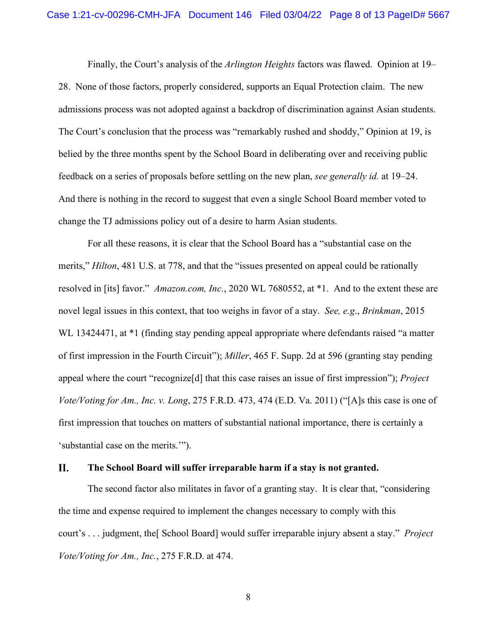Finally, the Court's analysis of the *Arlington Heights* factors was flawed. Opinion at 19– 28. None of those factors, properly considered, supports an Equal Protection claim. The new admissions process was not adopted against a backdrop of discrimination against Asian students. The Court's conclusion that the process was "remarkably rushed and shoddy," Opinion at 19, is belied by the three months spent by the School Board in deliberating over and receiving public feedback on a series of proposals before settling on the new plan, *see generally id.* at 19–24. And there is nothing in the record to suggest that even a single School Board member voted to change the TJ admissions policy out of a desire to harm Asian students.

For all these reasons, it is clear that the School Board has a "substantial case on the merits," *Hilton*, 481 U.S. at 778, and that the "issues presented on appeal could be rationally resolved in [its] favor." *Amazon.com, Inc.*, 2020 WL 7680552, at \*1. And to the extent these are novel legal issues in this context, that too weighs in favor of a stay. *See, e.g*., *Brinkman*, 2015 WL 13424471, at \*1 (finding stay pending appeal appropriate where defendants raised "a matter of first impression in the Fourth Circuit"); *Miller*, 465 F. Supp. 2d at 596 (granting stay pending appeal where the court "recognize[d] that this case raises an issue of first impression"); *Project Vote/Voting for Am., Inc. v. Long*, 275 F.R.D. 473, 474 (E.D. Va. 2011) ("[A]s this case is one of first impression that touches on matters of substantial national importance, there is certainly a 'substantial case on the merits.'").

#### II. **The School Board will suffer irreparable harm if a stay is not granted.**

The second factor also militates in favor of a granting stay. It is clear that, "considering the time and expense required to implement the changes necessary to comply with this court's . . . judgment, the[ School Board] would suffer irreparable injury absent a stay." *Project Vote/Voting for Am., Inc.*, 275 F.R.D. at 474.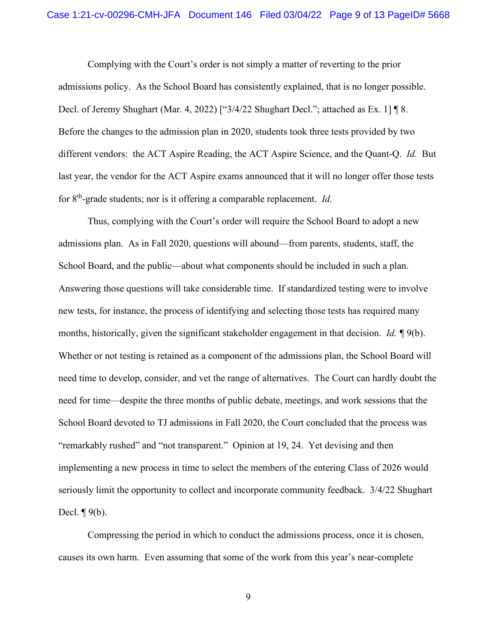### Case 1:21-cv-00296-CMH-JFA Document 146 Filed 03/04/22 Page 9 of 13 PageID# 5668

Complying with the Court's order is not simply a matter of reverting to the prior admissions policy. As the School Board has consistently explained, that is no longer possible. Decl. of Jeremy Shughart (Mar. 4, 2022) ["3/4/22 Shughart Decl."; attached as Ex. 1] ¶ 8. Before the changes to the admission plan in 2020, students took three tests provided by two different vendors: the ACT Aspire Reading, the ACT Aspire Science, and the Quant-Q. *Id.* But last year, the vendor for the ACT Aspire exams announced that it will no longer offer those tests for 8th-grade students; nor is it offering a comparable replacement. *Id.*

Thus, complying with the Court's order will require the School Board to adopt a new admissions plan. As in Fall 2020, questions will abound—from parents, students, staff, the School Board, and the public—about what components should be included in such a plan. Answering those questions will take considerable time. If standardized testing were to involve new tests, for instance, the process of identifying and selecting those tests has required many months, historically, given the significant stakeholder engagement in that decision. *Id. ¶* 9(b). Whether or not testing is retained as a component of the admissions plan, the School Board will need time to develop, consider, and vet the range of alternatives. The Court can hardly doubt the need for time—despite the three months of public debate, meetings, and work sessions that the School Board devoted to TJ admissions in Fall 2020, the Court concluded that the process was "remarkably rushed" and "not transparent." Opinion at 19, 24. Yet devising and then implementing a new process in time to select the members of the entering Class of 2026 would seriously limit the opportunity to collect and incorporate community feedback. 3/4/22 Shughart Decl.  $\P$ 9(b).

Compressing the period in which to conduct the admissions process, once it is chosen, causes its own harm. Even assuming that some of the work from this year's near-complete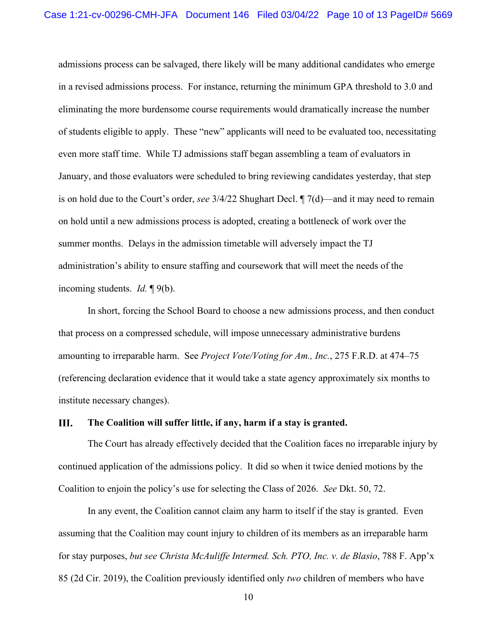admissions process can be salvaged, there likely will be many additional candidates who emerge in a revised admissions process. For instance, returning the minimum GPA threshold to 3.0 and eliminating the more burdensome course requirements would dramatically increase the number of students eligible to apply. These "new" applicants will need to be evaluated too, necessitating even more staff time. While TJ admissions staff began assembling a team of evaluators in January, and those evaluators were scheduled to bring reviewing candidates yesterday, that step is on hold due to the Court's order, *see* 3/4/22 Shughart Decl. ¶ 7(d)—and it may need to remain on hold until a new admissions process is adopted, creating a bottleneck of work over the summer months. Delays in the admission timetable will adversely impact the TJ administration's ability to ensure staffing and coursework that will meet the needs of the incoming students. *Id.* ¶ 9(b).

In short, forcing the School Board to choose a new admissions process, and then conduct that process on a compressed schedule, will impose unnecessary administrative burdens amounting to irreparable harm. See *Project Vote/Voting for Am., Inc.*, 275 F.R.D. at 474–75 (referencing declaration evidence that it would take a state agency approximately six months to institute necessary changes).

#### III. **The Coalition will suffer little, if any, harm if a stay is granted.**

The Court has already effectively decided that the Coalition faces no irreparable injury by continued application of the admissions policy. It did so when it twice denied motions by the Coalition to enjoin the policy's use for selecting the Class of 2026. *See* Dkt. 50, 72.

In any event, the Coalition cannot claim any harm to itself if the stay is granted. Even assuming that the Coalition may count injury to children of its members as an irreparable harm for stay purposes, *but see Christa McAuliffe Intermed. Sch. PTO, Inc. v. de Blasio*, 788 F. App'x 85 (2d Cir. 2019), the Coalition previously identified only *two* children of members who have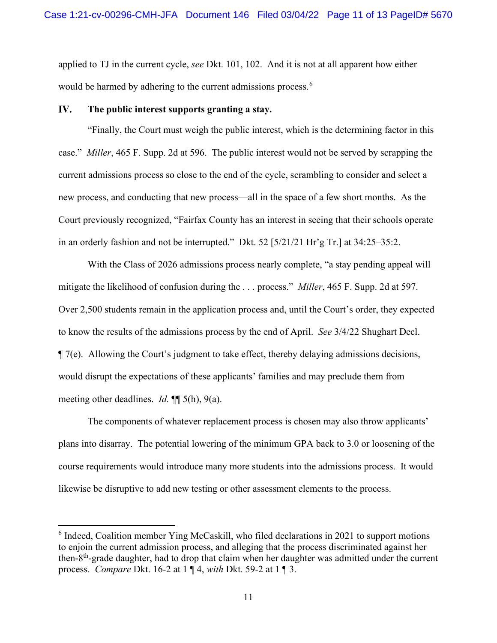applied to TJ in the current cycle, *see* Dkt. 101, 102. And it is not at all apparent how either would be harmed by adhering to the current admissions process.<sup>[6](#page-10-0)</sup>

#### IV. **The public interest supports granting a stay.**

"Finally, the Court must weigh the public interest, which is the determining factor in this case." *Miller*, 465 F. Supp. 2d at 596. The public interest would not be served by scrapping the current admissions process so close to the end of the cycle, scrambling to consider and select a new process, and conducting that new process—all in the space of a few short months. As the Court previously recognized, "Fairfax County has an interest in seeing that their schools operate in an orderly fashion and not be interrupted." Dkt. 52 [5/21/21 Hr'g Tr.] at 34:25–35:2.

With the Class of 2026 admissions process nearly complete, "a stay pending appeal will mitigate the likelihood of confusion during the . . . process." *Miller*, 465 F. Supp. 2d at 597. Over 2,500 students remain in the application process and, until the Court's order, they expected to know the results of the admissions process by the end of April. *See* 3/4/22 Shughart Decl. ¶ 7(e). Allowing the Court's judgment to take effect, thereby delaying admissions decisions, would disrupt the expectations of these applicants' families and may preclude them from meeting other deadlines. *Id.* ¶¶ 5(h), 9(a).

The components of whatever replacement process is chosen may also throw applicants' plans into disarray. The potential lowering of the minimum GPA back to 3.0 or loosening of the course requirements would introduce many more students into the admissions process. It would likewise be disruptive to add new testing or other assessment elements to the process.

<span id="page-10-0"></span><sup>&</sup>lt;sup>6</sup> Indeed, Coalition member Ying McCaskill, who filed declarations in 2021 to support motions to enjoin the current admission process, and alleging that the process discriminated against her then-8th-grade daughter, had to drop that claim when her daughter was admitted under the current process. *Compare* Dkt. 16-2 at 1 ¶ 4, *with* Dkt. 59-2 at 1 ¶ 3.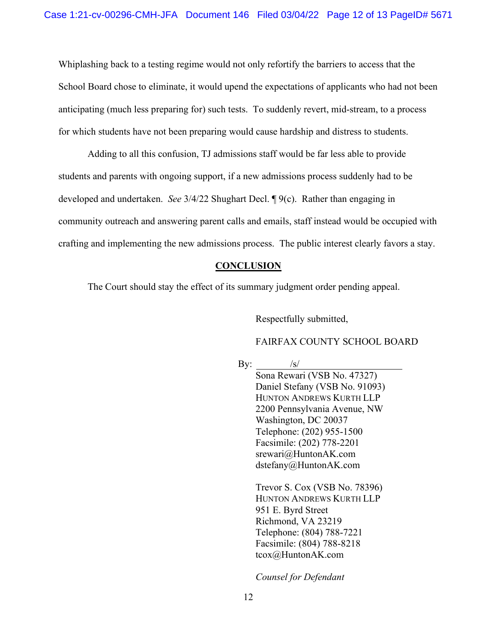Whiplashing back to a testing regime would not only refortify the barriers to access that the School Board chose to eliminate, it would upend the expectations of applicants who had not been anticipating (much less preparing for) such tests. To suddenly revert, mid-stream, to a process for which students have not been preparing would cause hardship and distress to students.

Adding to all this confusion, TJ admissions staff would be far less able to provide students and parents with ongoing support, if a new admissions process suddenly had to be developed and undertaken. *See* 3/4/22 Shughart Decl. ¶ 9(c). Rather than engaging in community outreach and answering parent calls and emails, staff instead would be occupied with crafting and implementing the new admissions process. The public interest clearly favors a stay.

### **CONCLUSION**

The Court should stay the effect of its summary judgment order pending appeal.

Respectfully submitted,

### FAIRFAX COUNTY SCHOOL BOARD

By:  $/s/$ 

Sona Rewari (VSB No. 47327) Daniel Stefany (VSB No. 91093) HUNTON ANDREWS KURTH LLP 2200 Pennsylvania Avenue, NW Washington, DC 20037 Telephone: (202) 955-1500 Facsimile: (202) 778-2201 [srewari@HuntonAK.com](mailto:srewari@HuntonAK.com) dstefany@HuntonAK.com

Trevor S. Cox (VSB No. 78396) HUNTON ANDREWS KURTH LLP 951 E. Byrd Street Richmond, VA 23219 Telephone: (804) 788-7221 Facsimile: (804) 788-8218 tcox@HuntonAK.com

*Counsel for Defendant*